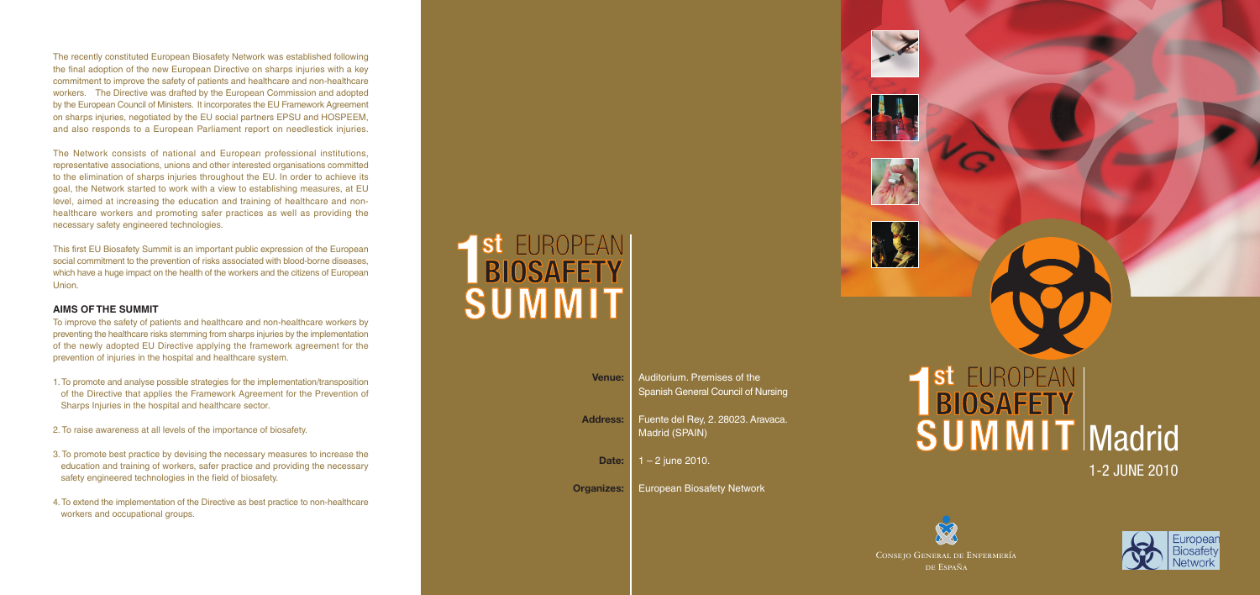The recently constituted European Biosafety Network was established following the final adoption of the new European Directive on sharps injuries with a key commitment to improve the safety of patients and healthcare and non-healthcare workers. The Directive was drafted by the European Commission and adopted by the European Council of Ministers. It incorporates the EU Framework Agreement on sharps injuries, negotiated by the EU social partners EPSU and HOSPEEM, and also responds to a European Parliament report on needlestick injuries.

The Network consists of national and European professional institutions, representative associations, unions and other interested organisations committed to the elimination of sharps injuries throughout the EU. In order to achieve its goal, the Network started to work with a view to establishing measures, at EU level, aimed at increasing the education and training of healthcare and nonhealthcare workers and promoting safer practices as well as providing the necessary safety engineered technologies.

This first EU Biosafety Summit is an important public expression of the European social commitment to the prevention of risks associated with blood-borne diseases, which have a huge impact on the health of the workers and the citizens of European Union.

## 1-2 JUNE 2010 **SUMMIT** Madrid **1** St EUROPEAN<br> **BIOSAFETY**



# **SUMMIT 1** St EUROPEAN<br> **BIOSAFETY**

#### **AIMS OF THE SUMMIT**

To improve the safety of patients and healthcare and non-healthcare workers by preventing the healthcare risks stemming from sharps injuries by the implementation of the newly adopted EU Directive applying the framework agreement for the prevention of injuries in the hospital and healthcare system.

- 1. To promote and analyse possible strategies for the implementation/transposition of the Directive that applies the Framework Agreement for the Prevention of Sharps Injuries in the hospital and healthcare sector.
- 2. To raise awareness at all levels of the importance of biosafety.
- 3. To promote best practice by devising the necessary measures to increase the education and training of workers, safer practice and providing the necessary safety engineered technologies in the field of biosafety.
- 4. To extend the implementation of the Directive as best practice to non-healthcare workers and occupational groups.

Consejo General de Enfermería de España



| Venue:            | Auditorium. Premises of the<br>Spanish General Council of Nursing |
|-------------------|-------------------------------------------------------------------|
| <b>Address:</b>   | Fuente del Rey, 2. 28023. Aravaca.<br>Madrid (SPAIN)              |
| Date:             | $1 - 2$ june 2010.                                                |
| <b>Organizes:</b> | <b>European Biosafety Network</b>                                 |







 $\sigma$